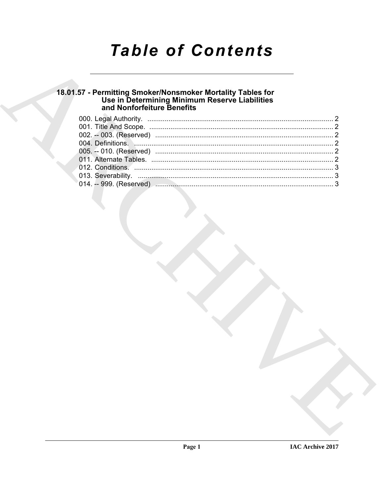## **Table of Contents**

# 18.01.57 - Permitting Smoker/Nonsmoker Mortality Tables for<br>Use in Determining Minimum Reserve Liabilities<br>and Nonforfeiture Benefits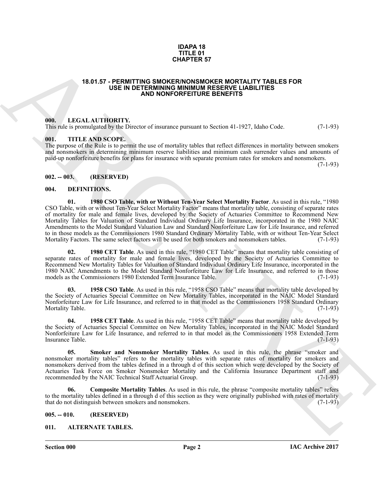#### **IDAPA 18 TITLE 01 CHAPTER 57**

#### <span id="page-1-0"></span>**18.01.57 - PERMITTING SMOKER/NONSMOKER MORTALITY TABLES FOR USE IN DETERMINING MINIMUM RESERVE LIABILITIES AND NONFORFEITURE BENEFITS**

#### <span id="page-1-1"></span>**000. LEGAL AUTHORITY.**

This rule is promulgated by the Director of insurance pursuant to Section 41-1927, Idaho Code. (7-1-93)

#### <span id="page-1-2"></span>**001. TITLE AND SCOPE.**

The purpose of the Rule is to permit the use of mortality tables that reflect differences in mortality between smokers and nonsmokers in determining minimum reserve liabilities and minimum cash surrender values and amounts of paid-up nonforfeiture benefits for plans for insurance with separate premium rates for smokers and nonsmokers.

 $(7-1-93)$ 

#### <span id="page-1-3"></span>**002. -- 003. (RESERVED)**

#### <span id="page-1-13"></span><span id="page-1-8"></span><span id="page-1-4"></span>**004. DEFINITIONS.**

**EXACULAR SYSTEM (SOLUTION CONTROL AND MATERIAL SYSTEM INTERFERIENCE CONTROL AND ARCHIVE TRANSPORTEER (SOLUTION CONTROL AND MATERIAL SYSTEM (SOLUTION CONTROL AND MATERIAL SYSTEM (SOLUTION CONTROL AND MATERIAL SYSTEM (SOLU 01. 1980 CSO Table, with or Without Ten-Year Select Mortality Factor**. As used in this rule, "1980 CSO Table, with or without Ten-Year Select Mortality Factor" means that mortality table, consisting of separate rates of mortality for male and female lives, developed by the Society of Actuaries Committee to Recommend New Mortality Tables for Valuation of Standard Individual Ordinary Life Insurance, incorporated in the 1980 NAIC Amendments to the Model Standard Valuation Law and Standard Nonforfeiture Law for Life Insurance, and referred to in those models as the Commissioners 1980 Standard Ordinary Mortality Table, with or without Ten-Year Select<br>Mortality Factors. The same select factors will be used for both smokers and nonsmokers tables. (7-1-93) Mortality Factors. The same select factors will be used for both smokers and nonsmokers tables.

<span id="page-1-10"></span>**02. 1980 CET Table**. As used in this rule, "1980 CET Table" means that mortality table consisting of separate rates of mortality for male and female lives, developed by the Society of Actuaries Committee to Recommend New Mortality Tables for Valuation of Standard Individual Ordinary Life Insurance, incorporated in the 1980 NAIC Amendments to the Model Standard Nonforfeiture Law for Life Insurance, and referred to in those models as the Commissioners 1980 Extended Term Insurance Table.

<span id="page-1-12"></span>1958 CSO Table. As used in this rule, "1958 CSO Table" means that mortality table developed by the Society of Actuaries Special Committee on New Mortality Tables, incorporated in the NAIC Model Standard Nonforfeiture Law for Life Insurance, and referred to in that model as the Commissioners 1958 Standard Ordinary Mortality Table. (7-1-93)

<span id="page-1-9"></span>**04. 1958 CET Table**. As used in this rule, "1958 CET Table" means that mortality table developed by the Society of Actuaries Special Committee on New Mortality Tables, incorporated in the NAIC Model Standard Nonforfeiture Law for Life Insurance, and referred to in that model as the Commissioners 1958 Extended Term<br>Insurance Table. (7-1-93) Insurance Table.

<span id="page-1-14"></span>**05. Smoker and Nonsmoker Mortality Tables**. As used in this rule, the phrase "smoker and nonsmoker mortality tables" refers to the mortality tables with separate rates of mortality for smokers and nonsmokers derived from the tables defined in a through d of this section which were developed by the Society of Actuaries Task Force on Smoker Nonsmoker Mortality and the California Insurance Department staff and recommended by the NAIC Technical Staff Actuarial Group. (7-1-93) recommended by the NAIC Technical Staff Actuarial Group.

<span id="page-1-11"></span>**06. Composite Mortality Tables**. As used in this rule, the phrase "composite mortality tables" refers to the mortality tables defined in a through d of this section as they were originally published with rates of mortality that do not distinguish between smokers and nonsmokers. (7-1-93) that do not distinguish between smokers and nonsmokers.

<span id="page-1-5"></span>**005. -- 010. (RESERVED)**

#### <span id="page-1-7"></span><span id="page-1-6"></span>**011. ALTERNATE TABLES.**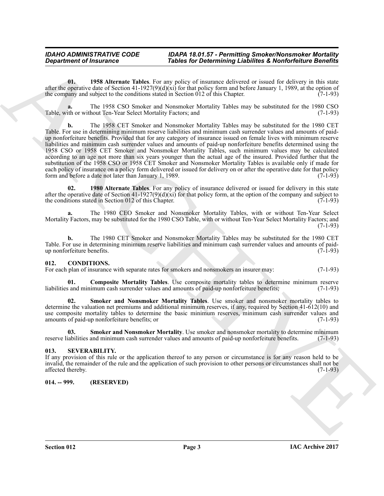#### *IDAHO ADMINISTRATIVE CODE IDAPA 18.01.57 - Permitting Smoker/Nonsmoker Mortality* **Tables for Determining Liabilites & Nonforfeiture Benefits**

<span id="page-2-3"></span>**01. 1958 Alternate Tables**. For any policy of insurance delivered or issued for delivery in this state after the operative date of Section 41-1927(9)(d)(xi) for that policy form and before January 1, 1989, at the option of the company and subject to the conditions stated in Section 012 of this Chapter. (7-1-93) the company and subject to the conditions stated in Section  $\overline{012}$  of this Chapter.

**a.** The 1958 CSO Smoker and Nonsmoker Mortality Tables may be substituted for the 1980 CSO Table, with or without Ten-Year Select Mortality Factors; and

*Construent of Insurance*<br>**Tables for Determining Liability is the Solution of Determining Liability & Northerly The state of the state<br>
the second to the state of the state of the state of the state of the state of the b.** The 1958 CET Smoker and Nonsmoker Mortality Tables may be substituted for the 1980 CET Table. For use in determining minimum reserve liabilities and minimum cash surrender values and amounts of paidup nonforfeiture benefits. Provided that for any category of insurance issued on female lives with minimum reserve liabilities and minimum cash surrender values and amounts of paid-up nonforfeiture benefits determined using the 1958 CSO or 1958 CET Smoker and Nonsmoker Mortality Tables, such minimum values may be calculated according to an age not more than six years younger than the actual age of the insured. Provided further that the substitution of the 1958 CSO or 1958 CET Smoker and Nonsmoker Mortality Tables is available only if made for each policy of insurance on a policy form delivered or issued for delivery on or after the operative date for that policy<br>form and before a date not later than January 1, 1989. form and before a date not later than January 1, 1989.

<span id="page-2-4"></span>**02. 1980 Alternate Tables**. For any policy of insurance delivered or issued for delivery in this state after the operative date of Section 41-1927(9)(d)(xi) for that policy form, at the option of the company and subject to the conditions stated in Section 012 of this Chapter. (7-1-93) the conditions stated in Section 012 of this Chapter.

**a.** The 1980 CEO Smoker and Nonsmoker Mortality Tables, with or without Ten-Year Select Mortality Factors, may be substituted for the 1980 CSO Table, with or without Ten-Year Select Mortality Factors; and (7-1-93)

**b.** The 1980 CET Smoker and Nonsmoker Mortality Tables may be substituted for the 1980 CET Table. For use in determining minimum reserve liabilities and minimum cash surrender values and amounts of paid-<br>up nonforfeiture benefits. (7-1-93) up nonforfeiture benefits.

#### <span id="page-2-5"></span><span id="page-2-0"></span>**012. CONDITIONS.**

For each plan of insurance with separate rates for smokers and nonsmokers an insurer may: (7-1-93)

<span id="page-2-6"></span>**01. Composite Mortality Tables**. Use composite mortality tables to determine minimum reserve and minimum cash surrender values and amounts of paid-up nonforfeiture benefits; (7-1-93) liabilities and minimum cash surrender values and amounts of paid-up nonforfeiture benefits;

<span id="page-2-8"></span>Smoker and Nonsmoker Mortality Tables. Use smoker and nonsmoker mortality tables to determine the valuation net premiums and additional minimum reserves, if any, required by Section 41-612(10) and use composite mortality tables to determine the basic minimum reserves, minimum cash surrender values and amounts of paid-up nonforfeiture benefits; or amounts of paid-up nonforfeiture benefits; or

<span id="page-2-7"></span>**03. Smoker and Nonsmoker Mortality**. Use smoker and nonsmoker mortality to determine minimum reserve liabilities and minimum cash surrender values and amounts of paid-up nonforfeiture benefits. (7-1-93)

#### <span id="page-2-1"></span>**013. SEVERABILITY.**

If any provision of this rule or the application thereof to any person or circumstance is for any reason held to be invalid, the remainder of the rule and the application of such provision to other persons or circumstances shall not be  $\alpha$  affected thereby.  $(7-1-93)$ 

#### <span id="page-2-2"></span>**014. -- 999. (RESERVED)**